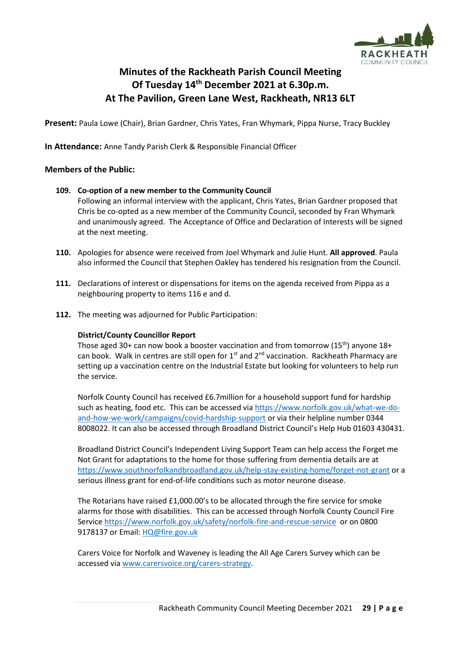

# **Minutes of the Rackheath Parish Council Meeting Of Tuesday 14 th December 2021 at 6.30p.m. At The Pavilion, Green Lane West, Rackheath, NR13 6LT**

**Present:** Paula Lowe (Chair), Brian Gardner, Chris Yates, Fran Whymark, Pippa Nurse, Tracy Buckley

**In Attendance:** Anne Tandy Parish Clerk & Responsible Financial Officer

#### **Members of the Public:**

#### **109. Co-option of a new member to the Community Council**

Following an informal interview with the applicant, Chris Yates, Brian Gardner proposed that Chris be co-opted as a new member of the Community Council, seconded by Fran Whymark and unanimously agreed. The Acceptance of Office and Declaration of Interests will be signed at the next meeting.

- **110.** Apologies for absence were received from Joel Whymark and Julie Hunt. **All approved**. Paula also informed the Council that Stephen Oakley has tendered his resignation from the Council.
- **111.** Declarations of interest or dispensations for items on the agenda received from Pippa as a neighbouring property to items 116 e and d.
- **112.** The meeting was adjourned for Public Participation:

#### **District/County Councillor Report**

Those aged 30+ can now book a booster vaccination and from tomorrow  $(15<sup>th</sup>)$  anyone 18+ can book. Walk in centres are still open for  $1<sup>st</sup>$  and  $2<sup>nd</sup>$  vaccination. Rackheath Pharmacy are setting up a vaccination centre on the Industrial Estate but looking for volunteers to help run the service.

Norfolk County Council has received £6.7million for a household support fund for hardship such as heating, food etc. This can be accessed via [https://www.norfolk.gov.uk/what-we-do](https://www.norfolk.gov.uk/what-we-do-and-how-we-work/campaigns/covid-hardship-support)[and-how-we-work/campaigns/covid-hardship-support](https://www.norfolk.gov.uk/what-we-do-and-how-we-work/campaigns/covid-hardship-support) or via their helpline number 0344 8008022. It can also be accessed through Broadland District Council's Help Hub 01603 430431.

Broadland District Council's Independent Living Support Team can help access the Forget me Not Grant for adaptations to the home for those suffering from dementia details are at <https://www.southnorfolkandbroadland.gov.uk/help-stay-existing-home/forget-not-grant> or a serious illness grant for end-of-life conditions such as motor neurone disease.

The Rotarians have raised £1,000.00's to be allocated through the fire service for smoke alarms for those with disabilities. This can be accessed through Norfolk County Council Fire Service<https://www.norfolk.gov.uk/safety/norfolk-fire-and-rescue-service> or on 0800 9178137 or Email: [HQ@fire.gov.uk](mailto:HQ@fire.gov.uk)

Carers Voice for Norfolk and Waveney is leading the All Age Carers Survey which can be accessed via [www.carersvoice.org/carers-strategy.](http://www.carersvoice.org/carers-strategy)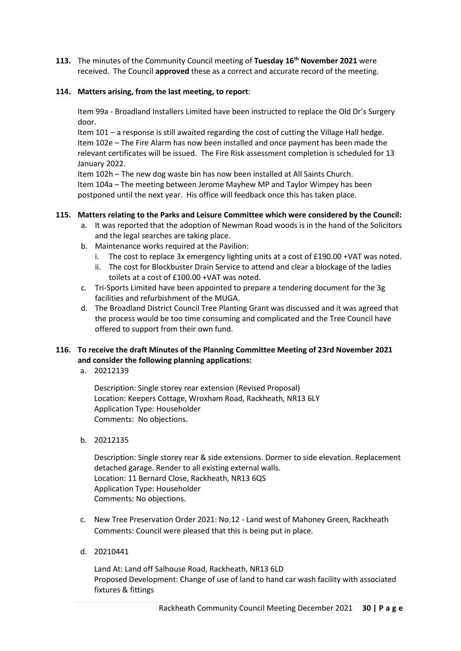**113.** The minutes of the Community Council meeting of **Tuesday 16 th November 2021** were received. The Council **approved** these as a correct and accurate record of the meeting.

## **114. Matters arising, from the last meeting, to report**:

Item 99a - Broadland Installers Limited have been instructed to replace the Old Dr's Surgery door.

Item 101 – a response is still awaited regarding the cost of cutting the Village Hall hedge. Item 102e – The Fire Alarm has now been installed and once payment has been made the relevant certificates will be issued. The Fire Risk assessment completion is scheduled for 13 January 2022.

Item 102h – The new dog waste bin has now been installed at All Saints Church. Item 104a – The meeting between Jerome Mayhew MP and Taylor Wimpey has been postponed until the next year. His office will feedback once this has taken place.

## **115. Matters relating to the Parks and Leisure Committee which were considered by the Council:**

- a. It was reported that the adoption of Newman Road woods is in the hand of the Solicitors and the legal searches are taking place.
- b. Maintenance works required at the Pavilion:
	- i. The cost to replace 3x emergency lighting units at a cost of  $£190.00 + VAT$  was noted.
	- ii. The cost for Blockbuster Drain Service to attend and clear a blockage of the ladies toilets at a cost of £100.00 +VAT was noted.
- c. Tri-Sports Limited have been appointed to prepare a tendering document for the 3g facilities and refurbishment of the MUGA.
- d. The Broadland District Council Tree Planting Grant was discussed and it was agreed that the process would be too time consuming and complicated and the Tree Council have offered to support from their own fund.

# **116. To receive the draft Minutes of the Planning Committee Meeting of 23rd November 2021 and consider the following planning applications:**

a. 20212139

Description: Single storey rear extension (Revised Proposal) Location: Keepers Cottage, Wroxham Road, Rackheath, NR13 6LY Application Type: Householder Comments: No objections.

b. 20212135

Description: Single storey rear & side extensions. Dormer to side elevation. Replacement detached garage. Render to all existing external walls. Location: 11 Bernard Close, Rackheath, NR13 6QS Application Type: Householder Comments: No objections.

- c. New Tree Preservation Order 2021: No.12 Land west of Mahoney Green, Rackheath Comments: Council were pleased that this is being put in place.
- d. 20210441

Land At: Land off Salhouse Road, Rackheath, NR13 6LD Proposed Development: Change of use of land to hand car wash facility with associated fixtures & fittings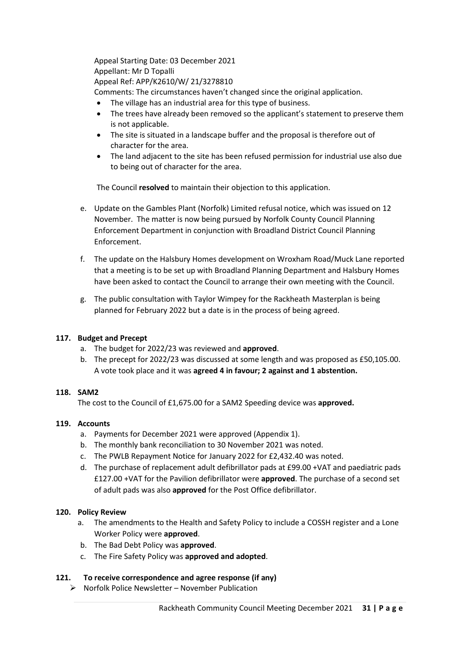Appeal Starting Date: 03 December 2021 Appellant: Mr D Topalli Appeal Ref: APP/K2610/W/ 21/3278810

Comments: The circumstances haven't changed since the original application.

- The village has an industrial area for this type of business.
- The trees have already been removed so the applicant's statement to preserve them is not applicable.
- The site is situated in a landscape buffer and the proposal is therefore out of character for the area.
- The land adjacent to the site has been refused permission for industrial use also due to being out of character for the area.

The Council **resolved** to maintain their objection to this application.

- e. Update on the Gambles Plant (Norfolk) Limited refusal notice, which was issued on 12 November. The matter is now being pursued by Norfolk County Council Planning Enforcement Department in conjunction with Broadland District Council Planning Enforcement.
- f. The update on the Halsbury Homes development on Wroxham Road/Muck Lane reported that a meeting is to be set up with Broadland Planning Department and Halsbury Homes have been asked to contact the Council to arrange their own meeting with the Council.
- g. The public consultation with Taylor Wimpey for the Rackheath Masterplan is being planned for February 2022 but a date is in the process of being agreed.

## **117. Budget and Precept**

- a. The budget for 2022/23 was reviewed and **approved**.
- b. The precept for 2022/23 was discussed at some length and was proposed as £50,105.00. A vote took place and it was **agreed 4 in favour; 2 against and 1 abstention.**

## **118. SAM2**

The cost to the Council of £1,675.00 for a SAM2 Speeding device was **approved.**

## **119. Accounts**

- a. Payments for December 2021 were approved (Appendix 1).
- b. The monthly bank reconciliation to 30 November 2021 was noted.
- c. The PWLB Repayment Notice for January 2022 for £2,432.40 was noted.
- d. The purchase of replacement adult defibrillator pads at £99.00 +VAT and paediatric pads £127.00 +VAT for the Pavilion defibrillator were **approved**. The purchase of a second set of adult pads was also **approved** for the Post Office defibrillator.

## **120. Policy Review**

- a. The amendments to the Health and Safety Policy to include a COSSH register and a Lone Worker Policy were **approved**.
- b. The Bad Debt Policy was **approved**.
- c. The Fire Safety Policy was **approved and adopted**.

## **121. To receive correspondence and agree response (if any)**

➢ Norfolk Police Newsletter – November Publication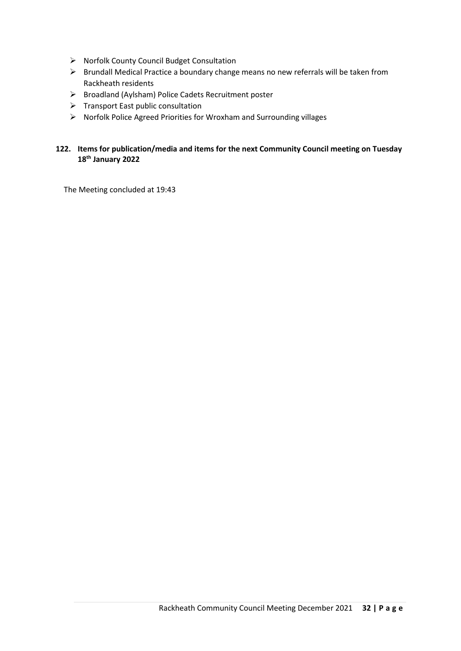- ➢ Norfolk County Council Budget Consultation
- ➢ Brundall Medical Practice a boundary change means no new referrals will be taken from Rackheath residents
- ➢ Broadland (Aylsham) Police Cadets Recruitment poster
- ➢ Transport East public consultation
- ➢ Norfolk Police Agreed Priorities for Wroxham and Surrounding villages

# **122. Items for publication/media and items for the next Community Council meeting on Tuesday 18 th January 2022**

The Meeting concluded at 19:43